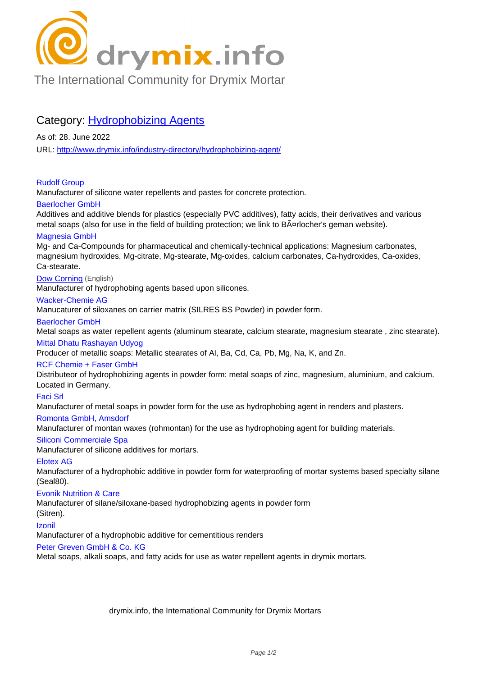

[The International Community for Drymix Mortar](/industry-directory/)

# Category: **Hydrophobizing Agents**

As of: 28. June 2022 URL: http://www.drymix.info/industry-directory/hydrophobizing-agent/

## Rudolf Group

Manu[facturer of silicone water repellents and pastes for concrete prot](http://www.drymix.info/industry-directory/hydrophobizing-agent/)ection.

## Baerlocher GmbH

Additives and additive blends for plastics (especially PVC additives), fatty acids, their derivatives and various metal soaps (also for use in the field of building protection; we link to B¤rlocher's geman website).

# Magnesia GmbH

Mg- and Ca-Compounds for pharmaceutical and chemically-technical applications: Magnesium carbonates, magnesium hydroxides, Mg-citrate, Mg-stearate, Mg-oxides, calcium carbonates, Ca-hydroxides, Ca-oxides, Ca-stearate.

## Dow Corning (English)

Manufacturer of hydrophobing agents based upon silicones.

## Wacker-Chemie AG

Manucaturer of siloxanes on carrier matrix (SILRES BS Powder) in powder form.

## [Baerlocher G](http://www.drymix.info/industry-directory/redir.php?lid=8633)mbH

Metal soaps as water repellent agents (aluminum stearate, calcium stearate, magnesium stearate , zinc stearate).

#### Mittal Dhatu Rashayan Udyog

Producer of metallic soaps: Metallic stearates of Al, Ba, Cd, Ca, Pb, Mg, Na, K, and Zn.

## RCF Chemie + Faser GmbH

Distributeor of hydrophobizing agents in powder form: metal soaps of zinc, magnesium, aluminium, and calcium. Located in Germany.

#### Faci Srl

Manufacturer of metal soaps in powder form for the use as hydrophobing agent in renders and plasters.

## Romonta GmbH, Amsdorf

Manufacturer of montan waxes (rohmontan) for the use as hydrophobing agent for building materials.

## Siliconi Commerciale Spa

Manufacturer of silicone additives for mortars.

## Elotex AG

Manufacturer of a hydrophobic additive in powder form for waterproofing of mortar systems based specialty silane (Seal80).

## Evonik Nutrition & Care

Manufacturer of silane/siloxane-based hydrophobizing agents in powder form

## (Sitren).

Izonil

Manufacturer of a hydrophobic additive for cementitious renders

## Peter Greven GmbH & Co. KG

Metal soaps, alkali soaps, and fatty acids for use as water repellent agents in drymix mortars.

drymix.info, the International Community for Drymix Mortars